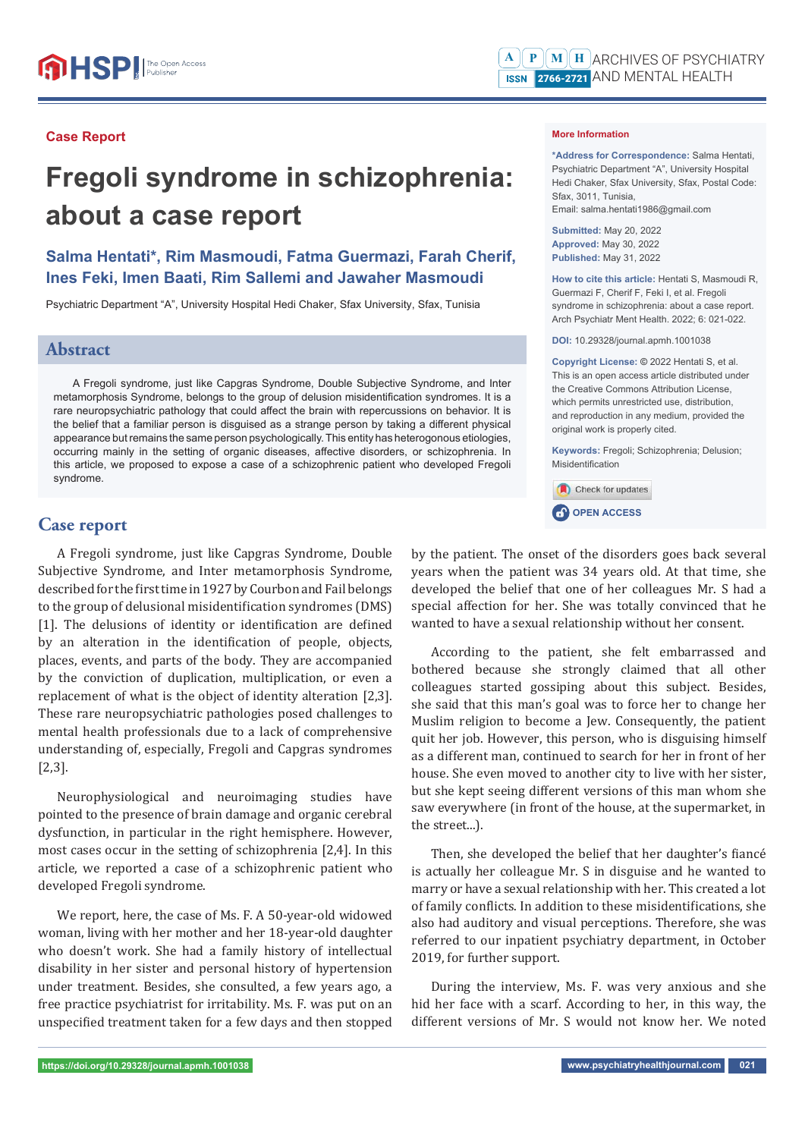#### **Case Report**

# **Fregoli syndrome in schizophrenia: about a case report**

## **Salma Hentati\*, Rim Masmoudi, Fatma Guermazi, Farah Cherif, Ines Feki, Imen Baati, Rim Sallemi and Jawaher Masmoudi**

Psychiatric Department "A", University Hospital Hedi Chaker, Sfax University, Sfax, Tunisia

### **Abstract**

A Fregoli syndrome, just like Capgras Syndrome, Double Subjective Syndrome, and Inter metamorphosis Syndrome, belongs to the group of delusion misidentification syndromes. It is a rare neuropsychiatric pathology that could affect the brain with repercussions on behavior. It is the belief that a familiar person is disguised as a strange person by taking a different physical appearance but remains the same person psychologically. This entity has heterogonous etiologies, occurring mainly in the setting of organic diseases, affective disorders, or schizophrenia. In this article, we proposed to expose a case of a schizophrenic patient who developed Fregoli syndrome.

#### **Case report**

A Fregoli syndrome, just like Capgras Syndrome, Double Subjective Syndrome, and Inter metamorphosis Syndrome, described for the first time in 1927 by Courbon and Fail belongs to the group of delusional misidentification syndromes (DMS) [1]. The delusions of identity or identification are defined by an alteration in the identification of people, objects, places, events, and parts of the body. They are accompanied by the conviction of duplication, multiplication, or even a replacement of what is the object of identity alteration [2,3]. These rare neuropsychiatric pathologies posed challenges to mental health professionals due to a lack of comprehensive understanding of, especially, Fregoli and Capgras syndromes [2,3].

Neurophysiological and neuroimaging studies have pointed to the presence of brain damage and organic cerebral dysfunction, in particular in the right hemisphere. However, most cases occur in the setting of schizophrenia [2,4]. In this article, we reported a case of a schizophrenic patient who developed Fregoli syndrome.

We report, here, the case of Ms. F. A 50-year-old widowed woman, living with her mother and her 18-year-old daughter who doesn't work. She had a family history of intellectual disability in her sister and personal history of hypertension under treatment. Besides, she consulted, a few years ago, a free practice psychiatrist for irritability. Ms. F. was put on an unspecified treatment taken for a few days and then stopped

#### **More Information**

**\*Address for Correspondence:** Salma Hentati, Psychiatric Department "A", University Hospital Hedi Chaker, Sfax University, Sfax, Postal Code: Sfax, 3011, Tunisia, Email: salma.hentati1986@gmail.com

**Submitted:** May 20, 2022 **Approved:** May 30, 2022 **Published:** May 31, 2022

**How to cite this article:** Hentati S, Masmoudi R, Guermazi F, Cherif F, Feki I, et al. Fregoli syndrome in schizophrenia: about a case report. Arch Psychiatr Ment Health. 2022; 6: 021-022.

**DOI:** 10.29328/journal.apmh.1001038

**Copyright License: ©** 2022 Hentati S, et al. This is an open access article distributed under the Creative Commons Attribution License, which permits unrestricted use, distribution, and reproduction in any medium, provided the original work is properly cited.

**Keywords:** Fregoli; Schizophrenia; Delusion; Misidentification



**CP** OPEN ACCESS

by the patient. The onset of the disorders goes back several years when the patient was 34 years old. At that time, she developed the belief that one of her colleagues Mr. S had a special affection for her. She was totally convinced that he wanted to have a sexual relationship without her consent.

According to the patient, she felt embarrassed and bothered because she strongly claimed that all other colleagues started gossiping about this subject. Besides, she said that this man's goal was to force her to change her Muslim religion to become a Jew. Consequently, the patient quit her job. However, this person, who is disguising himself as a different man, continued to search for her in front of her house. She even moved to another city to live with her sister, but she kept seeing different versions of this man whom she saw everywhere (in front of the house, at the supermarket, in the street...).

Then, she developed the belief that her daughter's fiancé is actually her colleague Mr. S in disguise and he wanted to marry or have a sexual relationship with her. This created a lot of family conflicts. In addition to these misidentifications, she also had auditory and visual perceptions. Therefore, she was referred to our inpatient psychiatry department, in October 2019, for further support.

During the interview, Ms. F. was very anxious and she hid her face with a scarf. According to her, in this way, the different versions of Mr. S would not know her. We noted